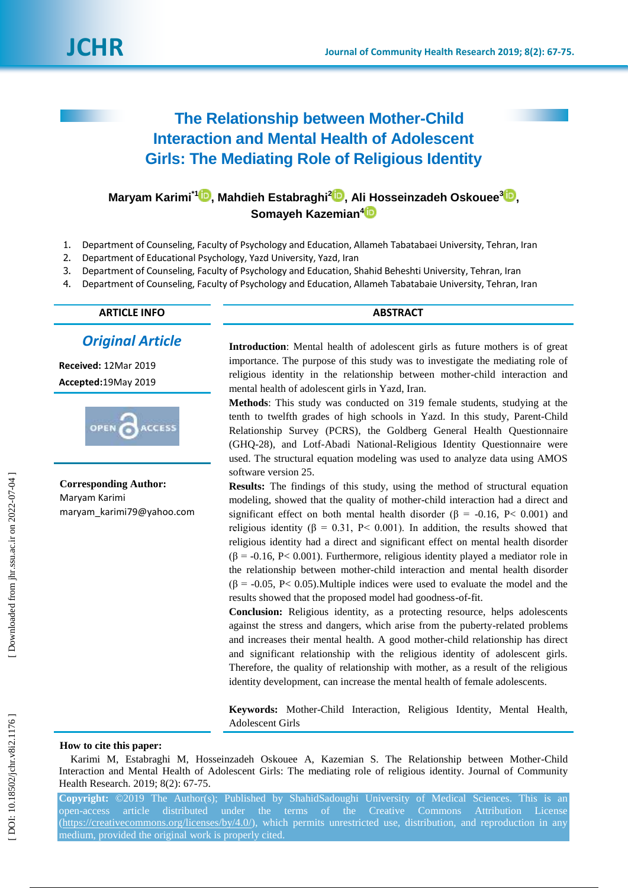

# **The Relationship between Mother -Child Interaction and Mental Health of Adolescent Girls: The Mediating Role of Religious Identity**

## **Maryam Karimi\*[1](https://orcid.org/0000-0002-5157-2450) , Mahdieh Estabraghi 2 [,](https://orcid.org/0000-0001-8688-0587) Ali Hosseinzadeh Oskouee [3](https://orcid.org/0000-0002-5577-9264) , Somayeh Kazemian [4](https://orcid.org/0000-0001-8425-7361)**

- 1. Department of Counseling, Faculty of Psychology and Education, Allameh Tabatabaei University, Tehran, Iran
- 2. Department of Educational Psychology, Yazd University, Yazd, Iran
- 3. Department of Counseling, Faculty of Psychology and Education, Shahid Beheshti University, Tehran, Iran
- 4. Department of Counseling, Faculty of Psychology and Education, Allameh Tabatabaie University, Tehran, Iran

**ARTICLE INFO ABSTRACT**

### *Original Article*

**Received:** 12Mar 201 9 **Accepted:**19May 201 9



**Corresponding Author:** Maryam Karimi maryam\_karimi79@yahoo.com

**Introduction**: Mental health of adolescent girls as future mothers is of great importance. The purpose of this study was to investigate the mediating role of religious identity in the relationship between mother -child interaction and mental health of adolescent girls in Yazd, Iran.

**Method s**: This study was conducted on 319 female students, studying at the tenth to twelfth grades of high schools in Yazd. In this study, Parent -Child Relationship Survey (PCRS), the Goldberg General Health Questionnaire (GHQ -28), and Lotf-Abadi National -Religious Identity Questionnaire were used. The structural equation modeling was used to analyze data using AMOS software version 25.

**Results:** The findings of this study, using the method of structural equation modeling, showed that the quality of mother -child interaction had a direct and significant effect on both mental health disorder ( $\beta$  = -0.16, P< 0.001) and religious identity (β = 0.31, P < 0.001). In addition, the results showed that religious identity had a direct and significant effect on mental health disorder  $(\beta = -0.16, P < 0.001)$ . Furthermore, religious identity played a mediator role in the relationship between mother -child interaction and mental health disorder  $(\beta = -0.05, P < 0.05)$ . Multiple indices were used to evaluate the model and the results showed that the proposed model had goodness -of-fit.

**Conclusion:** Religious identity, as a protecting resource, helps adolescents against the stress and dangers, which arise from the puberty -related problems and increases their mental health. A good mother -child relationship has direct and significant relationship with the religious identity of adolescent girls. Therefore, the quality of relationship with mother, as a result of the religious identity development, can increase the mental health of female adolescents.

**Keywords:** Mother -Child Interaction, Religious Identity, Mental Health, Adolescent Girls

#### **How to cite this paper:**

Karimi M, Estabraghi M, Hosseinzadeh Oskouee A, Kazemian S. The Relationship between Mother -Child Interaction and Mental Health of Adolescent Girls: The mediating role of religious identity. Journal of Community Health Research. 2019; 8(2): 67-75.

**Copyright:** ©201 9 The Author(s); Published by ShahidSadoughi University of Medical Sciences. This is an open -access article distributed under the terms of the Creative Commons Attribution License [\(https://creativecommons.org/licenses/by/4.0/\)](https://creativecommons.org/licenses/by/4.0/), which permits unrestricted use, distribution, and reproduction in any medium, provided the original work is properly cited.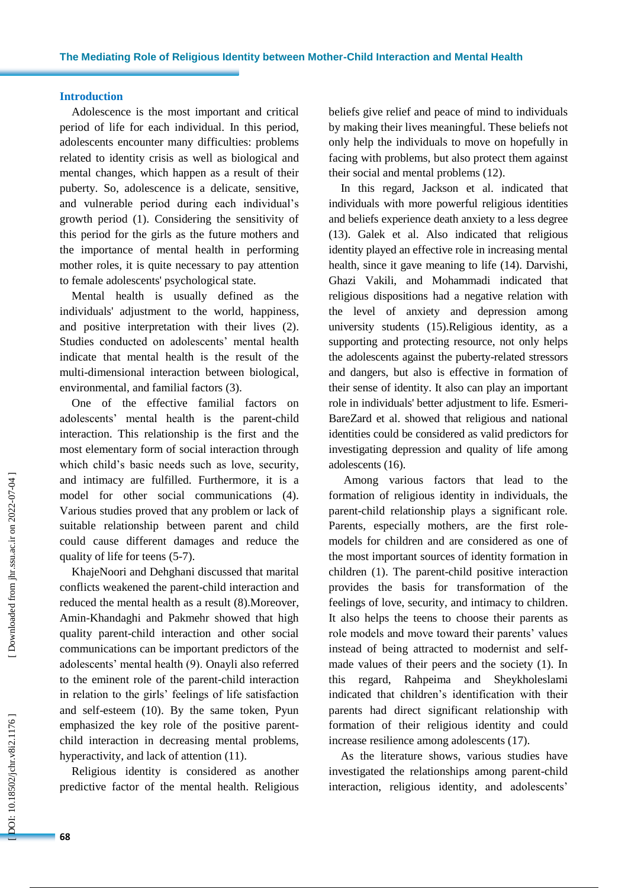#### **Introduction**

Adolescence is the most important and critical period of life for each individual. In this period, adolescents encounter many difficulties : problems related to identity crisis as well as biological and mental changes , which happen as a result of their puberty. So, adolescence is a delicate, sensitive , and vulnerable period during each individual's growth period (1). Considering the sensitivity of this period for the girls as the future mothers and the importance of mental health in performing mother roles , it is quite necessary to pay attention to female adolescents' psychological state.

Mental health is usually defined as the individuals' adjustment to the world, happiness , and positive interpretation with their lives (2). Studies conducted on adolescents' mental health indicate that mental health is the result of the multi -dimensional interaction between biological, environmental , and familial factors (3).

One of the effective familial factors on adolescents' mental health is the parent -child interaction. This relationship is the first and the most elementary form of social interaction through which child's basic needs such as love, security , and intimacy are fulfilled. Furthermore, it is a model for other social communications (4). Various studies prove d that any problem or lack of suitable relationship between parent and child could cause different damages and reduc e the quality of life for teens (5 -7).

KhajeNoori and Dehghani discussed that marital conflicts weakened the parent -child interaction and reduced the mental health as a result (8).Moreover, Amin -Khandaghi and Pakmehr showed that high quality parent -child interaction and other social communications can be important predictors of the adolescents' mental health (9). Onayli also referred to the eminent role of the parent -child interaction in relation to the girls' feelings of life satisfaction and self-esteem (10). By the same token, Pyun emphasize d the key role of the positive parent child interaction in decreasing mental problems, hyperactivity , and lack of attention (11).

Religious identity is considered as another predictive factor of the mental health. Religious beliefs give relief and peace of mind to individuals by making their lives meaningful. These beliefs not only help the individuals to move on hopefully in facing with problems, but also protect them against their social and mental problems (12).

In this regard, Jackson et al. indicated that individuals with more powerful religious identities and beliefs experience death anxiety to a less degree (13). Galek et al . Also indicate d that religious identity played an effective role in increasing mental health , since it gave meaning to life (14). Darvishi, Ghazi Vakili, and Mohammadi indicated that religious dispositions had a negative relation with the level of anxiety and depression among university students (15).Religious identity, as a supporting and protecting resource, not only helps the adolescents against the puberty -related stressors and dangers, but also is effective in formation of their sense of identity. It also can play an important role in individuals' better adjustment to life. Esmeri - BareZard et al. showed that religious and national identities could be considered as valid predictors for investigating depression and quality of life among adolescents (16).

Among various factors that lead to the formation of religious identity in individuals, the parent -child relationship plays a significant role. Parents, especially mothers, are the first rolemodels for children and are considered as one of the most important sources of identity formation in children (1). The parent -child positive interaction provides the basis for transformation of the feelings of love, security , and intimacy to children. It also helps the teens to choose their parents as role models and move toward their parents' values instead of being attracted to modernist and self made values of their peers and the society (1). In this regard, Rahpeima and Sheykholeslami indicated that children's identification with their parents ha d direct significant relationship with formation of their religious identity and could increase resilience among adolescents (17).

As the literature show s, various studies have investigated the relationships among parent -child interaction, religious identity , and adolescents'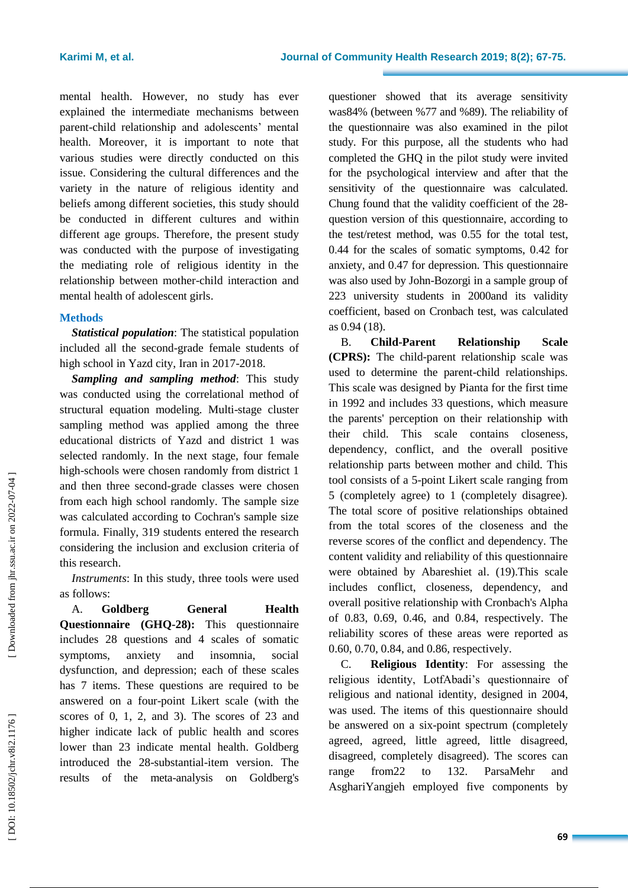mental health. However, no study has ever explained the intermediate mechanisms between parent -child relationship and adolescents' mental health. Moreover, it is important to note that various studies were directly conducted on this issue. Considering the cultural differences and the variety in the nature of religious identity and beliefs among different societies, this study should be conducted in different cultures and within different age groups. Therefore, the present study was conducted with the purpose of investigating the mediating role of religious identity in the relationship between mother -child interaction and mental health of adolescent girls .

#### **Method s**

*Statistical population* : The statistical population included all the second -grade female students of high school in Yazd city, Iran in 2017 -2018.

*Sampling and sampling method*: This study was conducted using the correlational method of structural equation modeling. Multi -stage cluster sampling method was applied among the three educational districts of Yazd and district 1 was selected randomly. In the next stage, four female high -schools were chosen randomly from district 1 and then three second -grade classes were chosen from each high school randomly. The sample size was calculated according to Cochran's sample size formula. Finally, 319 students entered th e research considering the inclusion and exclusion criteria of this research .

*Instruments*: In this study, three tools were used as follows:

A. **Goldberg General Health Questionnaire (GHQ -28) :** This questionnaire includes 28 questions and 4 scales of somatic symptoms, anxiety and insomnia, social dysfunction , and depression ; each of these scales has 7 items. These questions are required to be answered on a four -point Likert scale (with the scores of 0, 1, 2, and 3). The scores of 23 and higher indicate lack of public health and scores lower than 23 indicate mental health. Goldberg introduced the 28 -substantial -item version. The results of the meta -analysis on Goldberg's

questioner showed that its average sensitivity was84 % (between %77 and %89). The reliability of the questionnaire was also examined in the pilot study. For this purpose, all the students who had completed the GHQ in the pilot study were invited for the psychological interview and after that the sensitivity of the questionnaire was calculated. Chung found that the validity coefficient of the 28 question version of this questionnaire, according to the test/retest method, was 0 .55 for the total test, 0 .44 for the scales of somatic symptoms, 0 .42 for anxiety , and 0 .47 for depression. This questionnaire was als o used by John -Bozorgi in a sample group of 223 university students in 2000and its validity coefficient, based on Cronbach test, was calculated as 0 .94 (18).

B. **Child Relationship Scale (CPRS):** The child -parent relationship scale was used to determine the parent -child relationships. This scale was designed by Pianta for the first time in 1992 and includes 33 questions , which measure the parent s' perception on their relationship with their child. This scale contains closeness, dependency, conflict, and the overall positive relationship parts between mother and child. This tool consists of a 5 -point Likert scale ranging from 5 (completely agree) to 1 (completely disagree). The total score of positive relationships obtained from the total scores of the closeness and the reverse scores of the conflict and dependency. The content validity and reliability of this questionnaire were obtained by Abareshiet al. (19).This scale include s conflict, closeness, dependency, and overall positive relationship with Cronbach's Alpha of 0.83, 0.69, 0.46, and 0.84, respectively. The reliability scores of these areas were reported as 0.60, 0.70, 0.84 , and 0.86 , respectively.

C. **Religious Identity**: For assessing the religious identity, LotfAbadi's questionnaire of religious and national identity, designed in 2004, was used. The items of this questionnaire should be answered on a six -point spectrum (completely agreed, agreed, little agreed, little disagreed, disagreed, completely disagreed). The scores can range from22 to 132. ParsaMehr and AsghariYangjeh employed five components by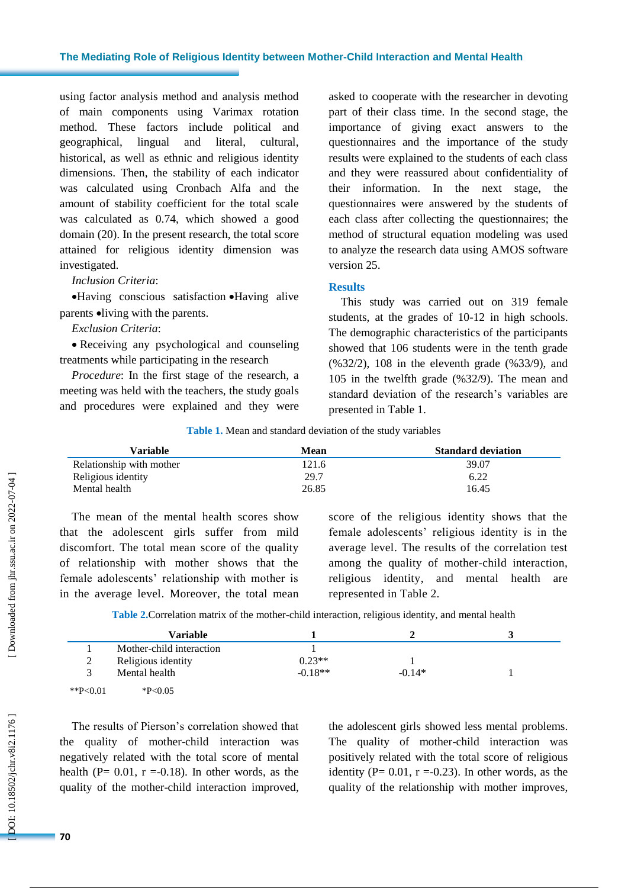#### **The Mediating Role of Religious Identity between Mother -Child Interaction and Mental Health**

using factor analysis method and analysis method of main components using Varimax rotation method. These factors include political and geographical, lingual and literal, cultural, historical, as well as ethnic and religious identity dimensions. Then , the stability of each indicator was calculated using Cronbach Alfa and the amount of stability coefficient for the total scale was calculated as 0 .74, which showed a good domain (20). In the present research, the total score attained for religious identity dimension was investigated.

#### *Inclusion Criteria* :

 Having conscious satisfaction Having alive parents  $\bullet$ living with the parents.

#### *Exclusion Criteria* :

 Receiving any psychological and counseling treatments while participating in the research

*Procedure*: In the first stage of the research, a meeting was held with the teachers, the study goals and procedures were explained and they were asked to cooperate with the researcher in devoting part of their class time. In the second stage, the importance of giving exact answers to the questionnaires and the importance of the study results were explained to the students of each class and they were reassured about confidentiality of their information. In the next stage, the questionnaires were answered by the students of each class after collecting the questionnaires; the method of structural equation modeling was used to analyze the research data using AMOS software version 25.

#### **Results**

This study was carried out on 319 female students, at the grades of 10 -12 in high schools. The demographic characteristics of the participants showed that 106 students were in the tenth grade (%32/2), 108 in the eleventh grade (%33/9), and 105 in the twelfth grade (%32/9). The mean and standard deviation of the research's variables are presented in Table 1.

**Table 1 .** Mean and standard deviation of the study variables

| Variable                 | Mean  | <b>Standard deviation</b> |
|--------------------------|-------|---------------------------|
| Relationship with mother | 121.6 | 39.07                     |
| Religious identity       | 29.7  | 6.22                      |
| Mental health            | 26.85 | 16.45                     |

The mean of the mental health scores show that the adolescent girls suffer from mild discomfort. The total mean score of the quality of relationship with mother shows that the female adolescents' relationship with mother is in the average level. Moreover, the total mean score of the religious identity shows that the female adolescents' religious identity is in the average level. The results of the correlation test among the quality of mother -child interaction, religious identity , and mental health are represented in Table 2.

Table 2. Correlation matrix of the mother-child interaction, religious identity, and mental health

|             | <b>Variable</b>          |           |          |  |
|-------------|--------------------------|-----------|----------|--|
|             | Mother-child interaction |           |          |  |
| 2<br>∠      | Religious identity       | $0.23**$  |          |  |
|             | Mental health            | $-0.18**$ | $-0.14*$ |  |
| **P< $0.01$ | $*P<0.05$                |           |          |  |

The results of Pierson's correlation showed that the quality of mother -child interaction was negatively related with the total score of mental health ( $P = 0.01$ ,  $r = -0.18$ ). In other words, as the quality of the mother -child interaction improved, the adolescent girls showed less mental problems. The quality of mother -child interaction was positively related with the total score of religious identity ( $P = 0.01$ ,  $r = -0.23$ ). In other words, as the quality of the relationship with mother improve s,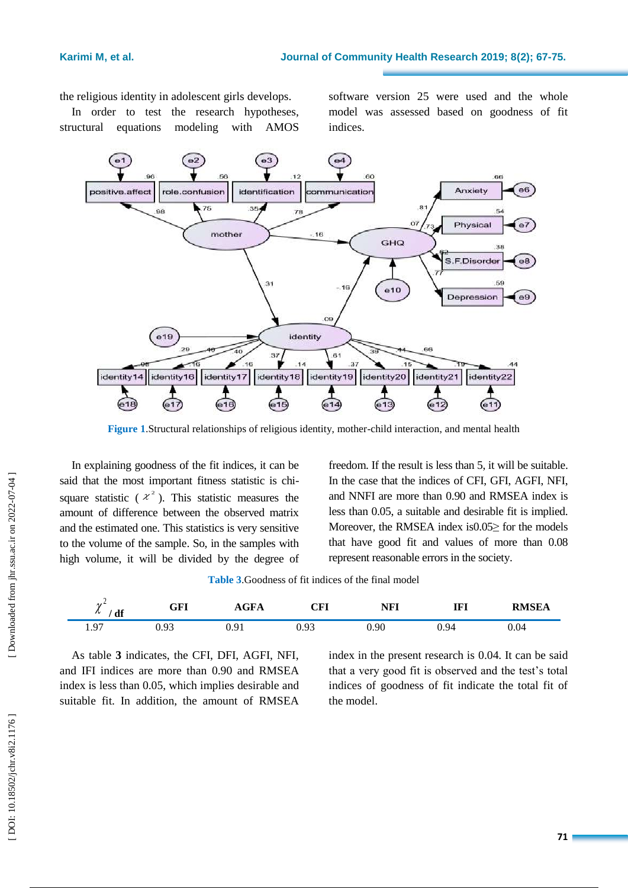the religious identity in adolescent girls develops.

In order to test the research hypotheses, structural equations modeling with AMOS

software version 25 were used and the whole model was assessed based on goodness of fit indices.



**Figure 1** .Structural relationships of religious identity, mother -child interaction , and mental health

In explaining goodness of the fit indices, it can be said that the most important fitness statistic is chi square statistic ( $x^2$ ). This statistic measures the amount of difference between the observed matrix and the estimated one. This statistics is very sensitive to the volume of the sample. So, in the samples with high volume, it will be divided by the degree of

freedom. If the result is less than 5, it will be suitable. In the case that the indices of CFI, GFI, AGFI, NFI , and NNFI are more than 0.90 and RMSEA index is less than 0.05, a suitable and desirable fit is implied. Moreover, the RMSEA index is 0.05 > for the models that have good fit and values of more than 0.08 represent reasonable errors in the society.

| 47<br>df<br>$\sim$       | GFI  | $\sim$ $\blacksquare$<br>AGFA | $\cap$ $\Gamma$ l<br>UP 1 | <b>NFI</b> | IFI  | <b>RMSEA</b> |
|--------------------------|------|-------------------------------|---------------------------|------------|------|--------------|
| $\Omega$<br>. <i>. .</i> | 0.93 | ີ<br><b>U.J.L</b>             | 0.93                      | $_{0.90}$  | 0.94 | 0.04         |

As table **3** indicates, the CFI, DFI, AGFI, NFI , and IFI indices are more than 0.90 and RMSEA index is less than 0.05, which implies desirable and suitable fit. In addition, the amount of RMSEA

index in the present research is 0.04. It can be said that a very good fit is observed and the test's total indices of goodness of fit indicate the total fit of the model.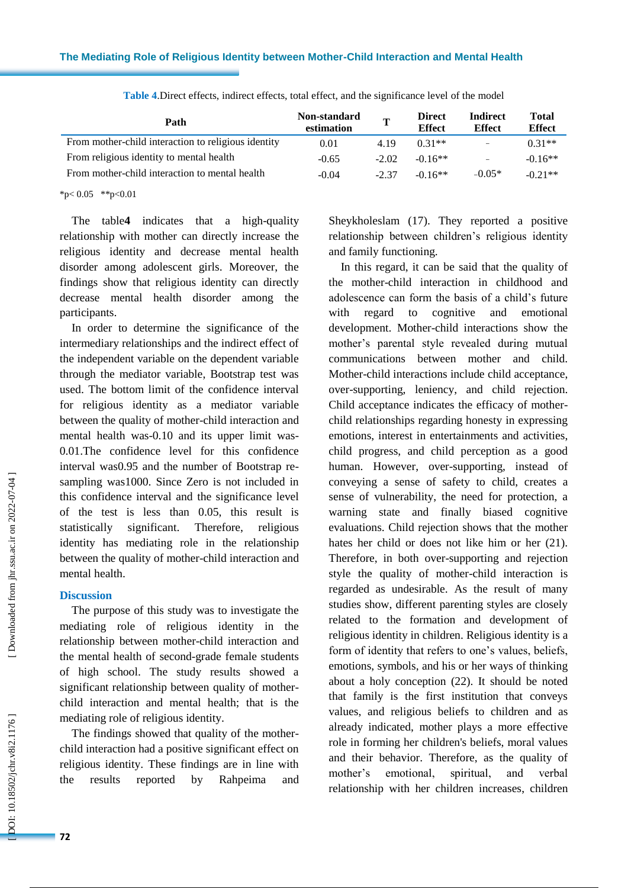| Path                                                | Non-standard<br>estimation | $\mathbf{T}$ | <b>Direct</b><br><b>Effect</b> | <b>Indirect</b><br><b>Effect</b> | <b>Total</b><br><b>Effect</b> |
|-----------------------------------------------------|----------------------------|--------------|--------------------------------|----------------------------------|-------------------------------|
| From mother-child interaction to religious identity | 0.01                       | 4.19         | $0.31**$                       | $\equiv$                         | $0.31**$                      |
| From religious identity to mental health            | $-0.65$                    | $-2.02$      | $-0.16**$                      | -                                | $-0.16**$                     |
| From mother-child interaction to mental health      | $-0.04$                    | $-2.37$      | $-0.16**$                      | $-0.05*$                         | $-0.21**$                     |

**Table 4** .Direct effects, indirect effects, total effect, and the significance level of the model

 $*p<0.05$  \*\*p<0.01

The table **4** indicates that a high -quality relationship with mother can directly increase the religious identity and decrease mental health disorder among adolescent girls. Moreover, the findings show that religious identity can directly decrease mental health disorder among the participants .

In order to determine the significance of the intermediary relationships and the indirect effect of the independent variable on the dependent variable through the mediator variable, Bootstrap test was used. The bottom limit of the confidence interval for religious identity as a mediator variable between the quality of mother -child interaction and mental health was -0.10 and its upper limit was - 0.01.The confidence level for this confidence interval was0.95 and the number of Bootstrap re sampling was1000. Since Zero is not included in this confidence interval and the significance level of the test is less than 0.05, this result is statistically significant. Therefore, religious identity has mediating role in the relationship between the quality of mother -child interaction and mental health.

#### **Discussion**

The purpose of this study was to investigate the mediating role of religious identity in the relationship between mother -child interaction and the mental health of second -grade female students of high school. The study results showed a significant relationship between quality of mother child interaction and mental health; that is the mediating role of religious identity.

The findings showed that quality of the mother child interaction had a positive significant effect on religious identity. These findings are in line with the results reported by Rahpeima and Sheykholeslam (17). They reported a positive relationship between children's religious identity and family functioning.

In this regard, it can be said that the quality of the mother -child interaction in childhood and adolescence can form the basis of a child's future with regard to cognitive and emotional development. Mother -child interactions show the mother's parental style revealed during mutual communications between mother and child. Mother -child interactions include child acceptance, over -supporting, leniency, and child rejection. Child acceptance indicates the efficacy of mother child relationships regarding honesty in expressing emotions, interest in entertainments and activities, child progress, and child perception as a good human. However, over -supporting, instead of conveying a sense of safety to child, creates a sense of vulnerability, the need for protection, a warning state and finally biased cognitive evaluations. Child rejection shows that the mother hates her child or does not like him or her (21). Therefore, in both over -supporting and rejection style the quality of mother -child interaction is regarded as undesirable. As the result of many studies show, different parenting styles are closely related to the formation and development of religious identity in children. Religious identity is a form of identity that refers to one's values, beliefs, emotions, symbols, and his or her ways of thinking about a holy conception (22). It should be noted that family is the first institution that conveys values, and religious beliefs to children and as already indicated, mother plays a more effective role in forming her children's beliefs, moral values and their behavior. Therefore, as the quality of mother's emotional, spiritual, and verbal relationship with her children increases, children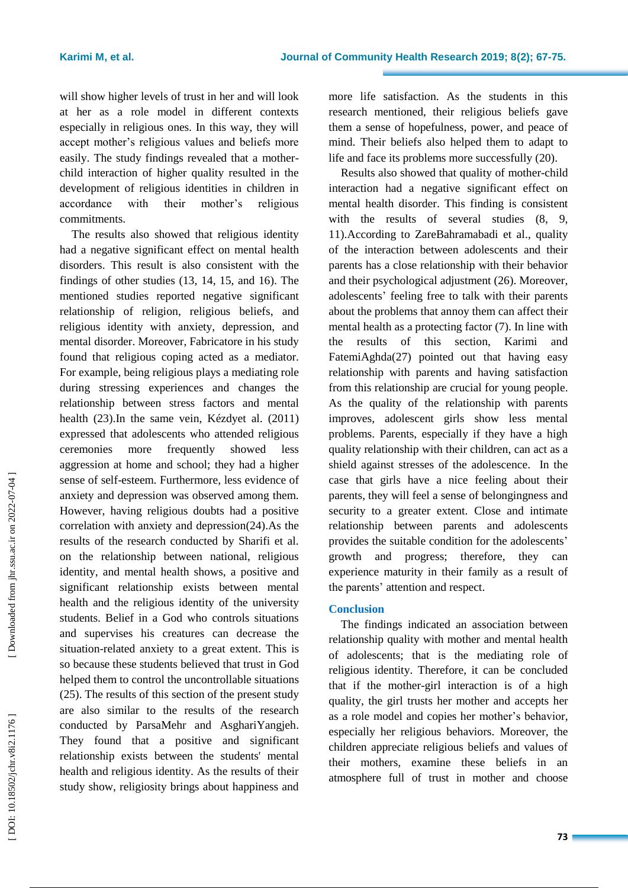will show higher levels of trust in her and will look at her as a role model in different contexts especially in religious ones. In this way, they will accept mother's religious values and beliefs more easily. The study findings revealed that a mother child interaction of higher quality resulted in the development of religious identities in children in accordance with their mother's religious commitments.

The results also showed that religious identity had a negative significant effect on mental health disorders. This result is also consistent with the findings of other studies (13, 14, 15, and 16). The mentioned studies reported negative significant relationship of religion, religious beliefs , and religious identity with anxiety, depression, and mental disorder. Moreover, Fabricatore in his study found that religious coping acted as a mediator. For example, being religious plays a mediating role during stressing experiences and changes the relationship between stress factors and mental health (23) .In the same vein, Kézdyet al. (2011) expressed that adolescents who attended religious ceremonies more frequently showed less aggression at home and school; they had a higher sense of self-esteem. Furthermore, less evidence of anxiety and depression was observed among them. However, having religious doubt s had a positive correlation with anxiety and depression(24) .As the results of the research conducted by Sharifi et al. on the relationship between national, religious identity , and mental health shows, a positive and significant relationship exists between mental health and the religious identity of the university students. Belief in a God who controls situations and supervises his creatures can decrease the situation -related anxiety to a great extent. This is so because these students believed that trust in God helped them to control the uncontrollable situations (25). The results of this section of the present study are also similar to the results of the research conducted by ParsaMehr and AsghariYangjeh. They found that a positive and significant relationship exists between the students' mental health and religious identity. As the results of their study show, religiosity brings about happiness and

more life satisfaction. As the students in this research mentioned, their religious beliefs gave them a sense of hopefulness, power , and peace of mind. Their beliefs also helped them to adapt to life and face its problems more successfully (20) .

Results also showed that quality of mother -child interaction had a negative significant effect on mental health disorder. This finding is consistent with the results of several studies  $(8, 9, 9)$ 11). According to ZareBahramabadi et al ., quality of the interaction between adolescents and their parents has a close relationship with their behavior and their psychological adjustment (26). Moreover, adolescents ' feeling free to talk with their parents about the problems that annoy them can affect their mental health as a protecting factor (7). In line with the results of this section, Karimi and FatemiAghda(27) pointed out that having easy relationship with parents and having satisfaction from this relationship are crucial for young people. As the quality of the relationship with parents improves, adolescent girls show less mental problems. Parents, especially if they have a high quality relationship with their children, can act as a shield against stresses of the adolescence. In the case that girls have a nice feeling about their parents, they will feel a sense of belongingness and security to a greater extent. Close and intimate relationship between parents and adolescents provides the suitable condition for the adolescents ' growth and progres s; therefore, they can experience maturity in their family as a result of the parents' attention and respect .

### **Conclusion**

The findings indicated an association between relationship quality with mother and mental health of adolescents; that is the mediating role of religious identity. Therefore, it can be concluded that if the mother -girl interaction is of a high quality, the girl trust s her mother and accepts her as a role model and copies her mother's behavior , especially her religious behaviors. Moreover, the children appreciate religious beliefs and values of their mothers, examine these beliefs in an atmosphere full of trust in mother and choose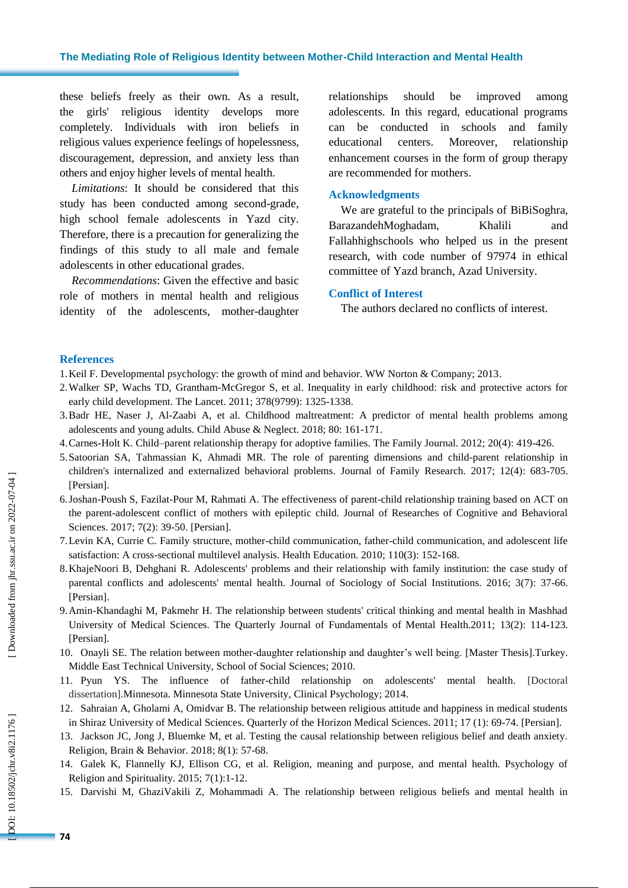these beliefs freely as their own. As a result, the girls' religious identity develops more completely. Individuals with iron beliefs in religious values experience feelings of hopelessness, discouragement, depression, and anxiety less than others and enjoy higher levels of mental health .

*Limitations* : It should be considered that this study has been conducted among second -grade, high school female adolescents in Yazd city. Therefore, there is a precaution for generalizing the findings of this study to all male and female adolescents in other educational grades.

*Recommendations*: Given the effective and basic role of mothers in mental health and religious identity of the adolescents, mother -daughter relationships should be improved among adolescents. In this regard, educational programs can be conducted in schools and family educational centers. Moreover, relationship enhancement courses in the form of group therapy are recommended for mothers .

#### **Acknowledgments**

We are grateful to the principals of BiBiSoghra, BarazandehMoghadam, Khalili and Fallahhighschools who helped us in the present research, with code number of 97974 in ethical committee of Yazd branch, Azad University.

#### **Conflict of Interest**

The authors declared no conflicts of interest.

#### **References**

- 1.Keil F. Developmental psychology: the growth of mind and behavior. WW Norton & Company; 2013 .
- 2.Walker SP, Wachs TD, Grantham -McGregor S, et al. Inequality in early childhood: risk and protective actors for early child development. The Lancet. 2011; 378(9799): 1325 -1338 .
- 3.Badr HE, Naser J, Al -Zaabi A, et al. Childhood maltreatment: A predictor of mental health problems among adolescents and young adults. Child Abuse & Neglect. 2018; 80: 161 - 171 .
- 4.Carnes -Holt K. Child –parent relationship therapy for adoptive families. The Family Journal. 2012; 20(4): 419 426.
- 5.Satoorian SA, Tahmassian K, Ahmadi MR. The role of parenting dimensions and child -parent relationship in children's internalized and externalized behavioral problems. Journal of Family Research. 2017; 12(4): 683 -705. [Persian] .
- 6.Joshan -Poush S, Fazilat -Pour M, Rahmati A. The effectiveness of parent -child relationship training based on ACT on the parent -adolescent conflict of mothers with epileptic child . Journal of Researches of Cognitive and Behavioral Sciences. 2017; 7(2): 39-50. [Persian].
- 7.Levin KA, Currie C. Family structure, mother -child communication, father -child communication, and adolescent life satisfaction: A cross-sectional multilevel analysis. Health Education. 2010; 110(3): 152-168.
- 8.KhajeNoori B, Dehghani R. Adolescents' problems and their relationship with family institution: the case study of parental conflicts and adolescents' mental health. Journal of Sociology of Social Institutions. 2016; 3(7): 37-66. [Persian] .
- 9.Amin -Khandaghi M, Pakmehr H. The relationship between students' critical thinking and mental health in Mashhad University of Medical Sciences. The Quarterly Journal of Fundamentals of Mental Health.2011; 13(2): 114-123. [Persian].
- 10. Onayli SE. The relation between mother -daughter relationship and daughter's well being. [Master Thesis].Turkey. Middle East Technical University, School of Social Sciences ; 2010.
- 11. Pyun YS. The influence of father -child relationship on adolescents' mental health . [Doctoral dissertation].Minnesota. Minnesota State University, Clinical Psychology; 2014 .
- 12. Sahraian A, Gholami A, Omidvar B. The relationship between religious attitude and happiness in medical students in Shiraz University of Medical Sciences. Ouarterly of the Horizon Medical Sciences. 2011; 17 (1): 69-74.
- 13. Jackson JC, Jong J, Bluemke M, et al. Testing the causal relationship between religious belief and death anxiety. Religion, Brain & Behavior. 2018; 8(1): 57-68.
- 14. Galek K, Flannelly KJ, Ellison CG, et al. Religion, meaning and purpose, and mental health. Psychology of Religion and Spirituality. 2015; 7(1):1 -12 .
- 15. Darvishi M, GhaziVakili Z, Mohammadi A. The relationship between religious beliefs and mental health in

DOI: 10.18502/jchr.v8i2.1176]